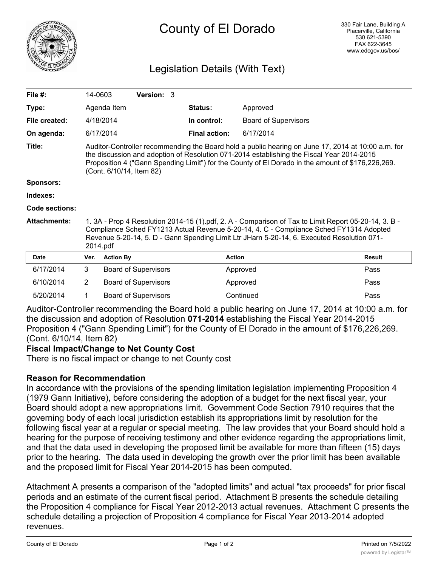

# County of El Dorado

### Legislation Details (With Text)

| File $#$ :            | 14-0603                                                                                                                                                                                                                                                                                                                          |                  | <b>Version: 3</b>           |  |                      |                             |               |
|-----------------------|----------------------------------------------------------------------------------------------------------------------------------------------------------------------------------------------------------------------------------------------------------------------------------------------------------------------------------|------------------|-----------------------------|--|----------------------|-----------------------------|---------------|
| Type:                 |                                                                                                                                                                                                                                                                                                                                  | Agenda Item      |                             |  | Status:              | Approved                    |               |
| File created:         |                                                                                                                                                                                                                                                                                                                                  | 4/18/2014        |                             |  | In control:          | <b>Board of Supervisors</b> |               |
| On agenda:            |                                                                                                                                                                                                                                                                                                                                  | 6/17/2014        |                             |  | <b>Final action:</b> | 6/17/2014                   |               |
| Title:                | Auditor-Controller recommending the Board hold a public hearing on June 17, 2014 at 10:00 a.m. for<br>the discussion and adoption of Resolution 071-2014 establishing the Fiscal Year 2014-2015<br>Proposition 4 ("Gann Spending Limit") for the County of El Dorado in the amount of \$176,226,269.<br>(Cont. 6/10/14, Item 82) |                  |                             |  |                      |                             |               |
| <b>Sponsors:</b>      |                                                                                                                                                                                                                                                                                                                                  |                  |                             |  |                      |                             |               |
| Indexes:              |                                                                                                                                                                                                                                                                                                                                  |                  |                             |  |                      |                             |               |
| <b>Code sections:</b> |                                                                                                                                                                                                                                                                                                                                  |                  |                             |  |                      |                             |               |
| <b>Attachments:</b>   | 1. 3A - Prop 4 Resolution 2014-15 (1).pdf, 2. A - Comparison of Tax to Limit Report 05-20-14, 3. B -<br>Compliance Sched FY1213 Actual Revenue 5-20-14, 4. C - Compliance Sched FY1314 Adopted<br>Revenue 5-20-14, 5. D - Gann Spending Limit Ltr JHarn 5-20-14, 6. Executed Resolution 071-<br>2014.pdf                         |                  |                             |  |                      |                             |               |
| <b>Date</b>           | Ver.                                                                                                                                                                                                                                                                                                                             | <b>Action By</b> |                             |  | <b>Action</b>        |                             | <b>Result</b> |
| 6/17/2014             | 3                                                                                                                                                                                                                                                                                                                                |                  | <b>Board of Supervisors</b> |  |                      | Approved                    | Pass          |
| 6/10/2014             | $\overline{2}$                                                                                                                                                                                                                                                                                                                   |                  | <b>Board of Supervisors</b> |  |                      | Approved                    | Pass          |
| 5/20/2014             | 1                                                                                                                                                                                                                                                                                                                                |                  | <b>Board of Supervisors</b> |  |                      | Continued                   | Pass          |

Auditor-Controller recommending the Board hold a public hearing on June 17, 2014 at 10:00 a.m. for the discussion and adoption of Resolution **071-2014** establishing the Fiscal Year 2014-2015 Proposition 4 ("Gann Spending Limit") for the County of El Dorado in the amount of \$176,226,269. (Cont. 6/10/14, Item 82)

#### **Fiscal Impact/Change to Net County Cost**

There is no fiscal impact or change to net County cost

#### **Reason for Recommendation**

In accordance with the provisions of the spending limitation legislation implementing Proposition 4 (1979 Gann Initiative), before considering the adoption of a budget for the next fiscal year, your Board should adopt a new appropriations limit. Government Code Section 7910 requires that the governing body of each local jurisdiction establish its appropriations limit by resolution for the following fiscal year at a regular or special meeting. The law provides that your Board should hold a hearing for the purpose of receiving testimony and other evidence regarding the appropriations limit, and that the data used in developing the proposed limit be available for more than fifteen (15) days prior to the hearing. The data used in developing the growth over the prior limit has been available and the proposed limit for Fiscal Year 2014-2015 has been computed.

Attachment A presents a comparison of the "adopted limits" and actual "tax proceeds" for prior fiscal periods and an estimate of the current fiscal period. Attachment B presents the schedule detailing the Proposition 4 compliance for Fiscal Year 2012-2013 actual revenues. Attachment C presents the schedule detailing a projection of Proposition 4 compliance for Fiscal Year 2013-2014 adopted revenues.